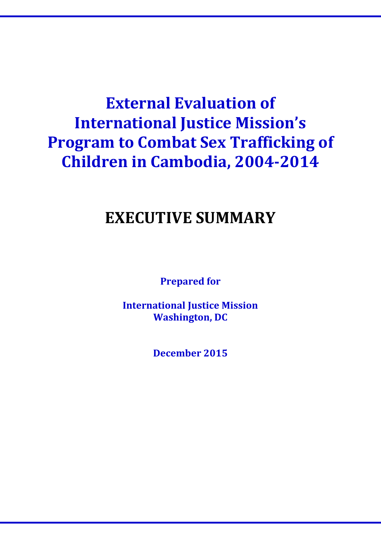# **External Evaluation of International Justice Mission's Program to Combat Sex Trafficking of Children in Cambodia, 2004-2014**

# **EXECUTIVE SUMMARY**

**Prepared for**

**International Justice Mission Washington, DC**

**December 2015**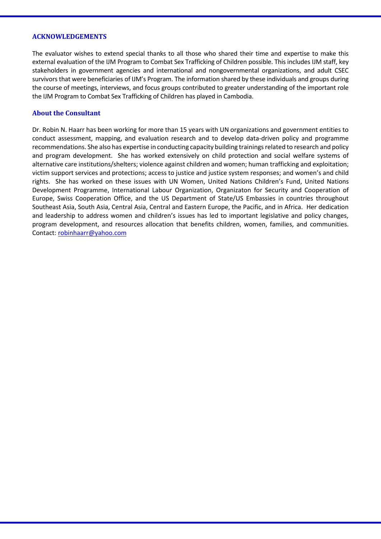#### **ACKNOWLEDGEMENTS**

The evaluator wishes to extend special thanks to all those who shared their time and expertise to make this external evaluation of the IJM Program to Combat Sex Trafficking of Children possible. This includes IJM staff, key stakeholders in government agencies and international and nongovernmental organizations, and adult CSEC survivors that were beneficiaries of IJM's Program. The information shared by these individuals and groups during the course of meetings, interviews, and focus groups contributed to greater understanding of the important role the IJM Program to Combat Sex Trafficking of Children has played in Cambodia.

#### **About the Consultant**

Dr. Robin N. Haarr has been working for more than 15 years with UN organizations and government entities to conduct assessment, mapping, and evaluation research and to develop data-driven policy and programme recommendations. She also has expertise in conducting capacity building trainings related to research and policy and program development. She has worked extensively on child protection and social welfare systems of alternative care institutions/shelters; violence against children and women; human trafficking and exploitation; victim support services and protections; access to justice and justice system responses; and women's and child rights. She has worked on these issues with UN Women, United Nations Children's Fund, United Nations Development Programme, International Labour Organization, Organizaton for Security and Cooperation of Europe, Swiss Cooperation Office, and the US Department of State/US Embassies in countries throughout Southeast Asia, South Asia, Central Asia, Central and Eastern Europe, the Pacific, and in Africa. Her dedication and leadership to address women and children's issues has led to important legislative and policy changes, program development, and resources allocation that benefits children, women, families, and communities. Contact[: robinhaarr@yahoo.com](mailto:robinhaarr@yahoo.com)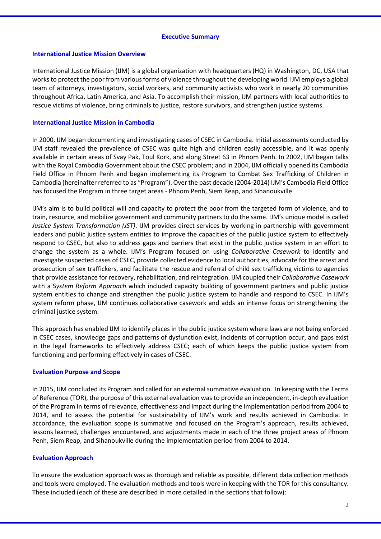#### **Executive Summary**

#### **International Justice Mission Overview**

International Justice Mission (IJM) is a global organization with headquarters (HQ) in Washington, DC, USA that works to protect the poor from various forms of violence throughout the developing world. IJM employs a global team of attorneys, investigators, social workers, and community activists who work in nearly 20 communities throughout Africa, Latin America, and Asia. To accomplish their mission, IJM partners with local authorities to rescue victims of violence, bring criminals to justice, restore survivors, and strengthen justice systems.

#### **International Justice Mission in Cambodia**

In 2000, IJM began documenting and investigating cases of CSEC in Cambodia. Initial assessments conducted by IJM staff revealed the prevalence of CSEC was quite high and children easily accessible, and it was openly available in certain areas of Svay Pak, Toul Kork, and along Street 63 in Phnom Penh. In 2002, IJM began talks with the Royal Cambodia Government about the CSEC problem; and in 2004, IJM officially opened its Cambodia Field Office in Phnom Penh and began implementing its Program to Combat Sex Trafficking of Children in Cambodia (hereinafter referred to as "Program"). Over the past decade (2004-2014) IJM's Cambodia Field Office has focused the Program in three target areas - Phnom Penh, Siem Reap, and Sihanoukville.

IJM's aim is to build political will and capacity to protect the poor from the targeted form of violence, and to train, resource, and mobilize government and community partners to do the same. IJM's unique model is called *Justice System Transformation (JST)*. IJM provides direct services by working in partnership with government leaders and public justice system entities to improve the capacities of the public justice system to effectively respond to CSEC, but also to address gaps and barriers that exist in the public justice system in an effort to change the system as a whole. IJM's Program focused on using *Collaborative Casework* to identify and investigate suspected cases of CSEC, provide collected evidence to local authorities, advocate for the arrest and prosecution of sex traffickers, and facilitate the rescue and referral of child sex trafficking victims to agencies that provide assistance for recovery, rehabilitation, and reintegration. IJM coupled their *Collaborative Casework*  with a S*ystem Reform Approach* which included capacity building of government partners and public justice system entities to change and strengthen the public justice system to handle and respond to CSEC. In IJM's system reform phase, IJM continues collaborative casework and adds an intense focus on strengthening the criminal justice system.

This approach has enabled IJM to identify places in the public justice system where laws are not being enforced in CSEC cases, knowledge gaps and patterns of dysfunction exist, incidents of corruption occur, and gaps exist in the legal frameworks to effectively address CSEC; each of which keeps the public justice system from functioning and performing effectively in cases of CSEC.

#### **Evaluation Purpose and Scope**

In 2015, IJM concluded its Program and called for an external summative evaluation. In keeping with the Terms of Reference (TOR), the purpose of this external evaluation was to provide an independent, in-depth evaluation of the Program in terms of relevance, effectiveness and impact during the implementation period from 2004 to 2014, and to assess the potential for sustainability of IJM's work and results achieved in Cambodia. In accordance, the evaluation scope is summative and focused on the Program's approach, results achieved, lessons learned, challenges encountered, and adjustments made in each of the three project areas of Phnom Penh, Siem Reap, and Sihanoukville during the implementation period from 2004 to 2014.

# **Evaluation Approach**

To ensure the evaluation approach was as thorough and reliable as possible, different data collection methods and tools were employed. The evaluation methods and tools were in keeping with the TOR for this consultancy. These included (each of these are described in more detailed in the sections that follow):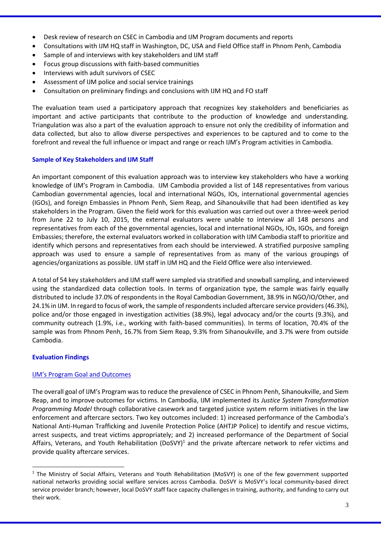- Desk review of research on CSEC in Cambodia and IJM Program documents and reports
- Consultations with IJM HQ staff in Washington, DC, USA and Field Office staff in Phnom Penh, Cambodia
- Sample of and interviews with key stakeholders and IJM staff
- Focus group discussions with faith-based communities
- Interviews with adult survivors of CSEC
- Assessment of IJM police and social service trainings
- Consultation on preliminary findings and conclusions with IJM HQ and FO staff

The evaluation team used a participatory approach that recognizes key stakeholders and beneficiaries as important and active participants that contribute to the production of knowledge and understanding. Triangulation was also a part of the evaluation approach to ensure not only the credibility of information and data collected, but also to allow diverse perspectives and experiences to be captured and to come to the forefront and reveal the full influence or impact and range or reach IJM's Program activities in Cambodia.

# **Sample of Key Stakeholders and IJM Staff**

An important component of this evaluation approach was to interview key stakeholders who have a working knowledge of IJM's Program in Cambodia. IJM Cambodia provided a list of 148 representatives from various Cambodian governmental agencies, local and international NGOs, IOs, international governmental agencies (IGOs), and foreign Embassies in Phnom Penh, Siem Reap, and Sihanoukville that had been identified as key stakeholders in the Program. Given the field work for this evaluation was carried out over a three-week period from June 22 to July 10, 2015, the external evaluators were unable to interview all 148 persons and representatives from each of the governmental agencies, local and international NGOs, IOs, IGOs, and foreign Embassies; therefore, the external evaluators worked in collaboration with IJM Cambodia staff to prioritize and identify which persons and representatives from each should be interviewed. A stratified purposive sampling approach was used to ensure a sample of representatives from as many of the various groupings of agencies/organizations as possible. IJM staff in IJM HQ and the Field Office were also interviewed.

A total of 54 key stakeholders and IJM staff were sampled via stratified and snowball sampling, and interviewed using the standardized data collection tools. In terms of organization type, the sample was fairly equally distributed to include 37.0% of respondents in the Royal Cambodian Government, 38.9% in NGO/IO/Other, and 24.1% in IJM. In regard to focus of work, the sample of respondents included aftercare service providers (46.3%), police and/or those engaged in investigation activities (38.9%), legal advocacy and/or the courts (9.3%), and community outreach (1.9%, i.e., working with faith-based communities). In terms of location, 70.4% of the sample was from Phnom Penh, 16.7% from Siem Reap, 9.3% from Sihanoukville, and 3.7% were from outside Cambodia.

# **Evaluation Findings**

 $\overline{a}$ 

# IJM's Program Goal and Outcomes

The overall goal of IJM's Program was to reduce the prevalence of CSEC in Phnom Penh, Sihanoukville, and Siem Reap, and to improve outcomes for victims. In Cambodia, IJM implemented its *Justice System Transformation Programming Model* through collaborative casework and targeted justice system reform initiatives in the law enforcement and aftercare sectors. Two key outcomes included: 1) increased performance of the Cambodia's National Anti-Human Trafficking and Juvenile Protection Police (AHTJP Police) to identify and rescue victims, arrest suspects, and treat victims appropriately; and 2) increased performance of the Department of Social Affairs, Veterans, and Youth Rehabilitation (DoSVY)<sup>1</sup> and the private aftercare network to refer victims and provide quality aftercare services.

 $1$  The Ministry of Social Affairs, Veterans and Youth Rehabilitation (MoSVY) is one of the few government supported national networks providing social welfare services across Cambodia. DoSVY is MoSVY's local community-based direct service provider branch; however, local DoSVY staff face capacity challenges in training, authority, and funding to carry out their work.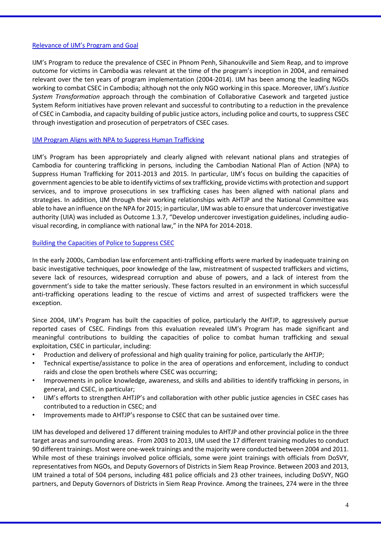#### Relevance of IJM's Program and Goal

IJM's Program to reduce the prevalence of CSEC in Phnom Penh, Sihanoukville and Siem Reap, and to improve outcome for victims in Cambodia was relevant at the time of the program's inception in 2004, and remained relevant over the ten years of program implementation (2004-2014). IJM has been among the leading NGOs working to combat CSEC in Cambodia; although not the only NGO working in this space. Moreover, IJM's *Justice System Transformation* approach through the combination of Collaborative Casework and targeted justice System Reform initiatives have proven relevant and successful to contributing to a reduction in the prevalence of CSEC in Cambodia, and capacity building of public justice actors, including police and courts, to suppress CSEC through investigation and prosecution of perpetrators of CSEC cases.

#### IJM Program Aligns with NPA to Suppress Human Trafficking

IJM's Program has been appropriately and clearly aligned with relevant national plans and strategies of Cambodia for countering trafficking in persons, including the Cambodian National Plan of Action (NPA) to Suppress Human Trafficking for 2011-2013 and 2015. In particular, IJM's focus on building the capacities of government agencies to be able to identify victims of sex trafficking, provide victims with protection and support services, and to improve prosecutions in sex trafficking cases has been aligned with national plans and strategies. In addition, IJM through their working relationships with AHTJP and the National Committee was able to have an influence on the NPA for 2015; in particular, IJM was able to ensure that undercover investigative authority (UIA) was included as Outcome 1.3.7, "Develop undercover investigation guidelines, including audiovisual recording, in compliance with national law," in the NPA for 2014-2018.

#### Building the Capacities of Police to Suppress CSEC

In the early 2000s, Cambodian law enforcement anti-trafficking efforts were marked by inadequate training on basic investigative techniques, poor knowledge of the law, mistreatment of suspected traffickers and victims, severe lack of resources, widespread corruption and abuse of powers, and a lack of interest from the government's side to take the matter seriously. These factors resulted in an environment in which successful anti-trafficking operations leading to the rescue of victims and arrest of suspected traffickers were the exception.

Since 2004, IJM's Program has built the capacities of police, particularly the AHTJP, to aggressively pursue reported cases of CSEC. Findings from this evaluation revealed IJM's Program has made significant and meaningful contributions to building the capacities of police to combat human trafficking and sexual exploitation, CSEC in particular, including:

- Production and delivery of professional and high quality training for police, particularly the AHTJP;
- Technical expertise/assistance to police in the area of operations and enforcement, including to conduct raids and close the open brothels where CSEC was occurring;
- Improvements in police knowledge, awareness, and skills and abilities to identify trafficking in persons, in general, and CSEC, in particular;
- IJM's efforts to strengthen AHTJP's and collaboration with other public justice agencies in CSEC cases has contributed to a reduction in CSEC; and
- Improvements made to AHTJP's response to CSEC that can be sustained over time.

IJM has developed and delivered 17 different training modules to AHTJP and other provincial police in the three target areas and surrounding areas. From 2003 to 2013, IJM used the 17 different training modules to conduct 90 different trainings. Most were one-week trainings and the majority were conducted between 2004 and 2011. While most of these trainings involved police officials, some were joint trainings with officials from DoSVY, representatives from NGOs, and Deputy Governors of Districts in Siem Reap Province. Between 2003 and 2013, IJM trained a total of 504 persons, including 481 police officials and 23 other trainees, including DoSVY, NGO partners, and Deputy Governors of Districts in Siem Reap Province. Among the trainees, 274 were in the three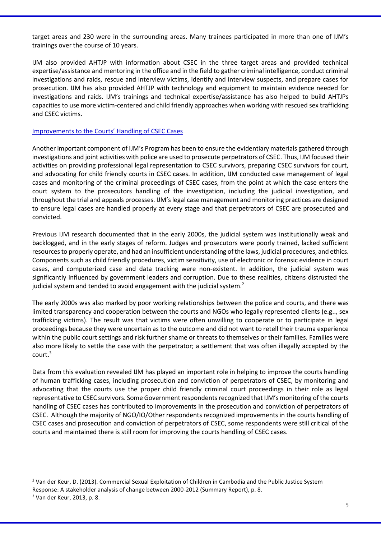target areas and 230 were in the surrounding areas. Many trainees participated in more than one of IJM's trainings over the course of 10 years.

IJM also provided AHTJP with information about CSEC in the three target areas and provided technical expertise/assistance and mentoring in the office and in the field to gather criminal intelligence, conduct criminal investigations and raids, rescue and interview victims, identify and interview suspects, and prepare cases for prosecution. IJM has also provided AHTJP with technology and equipment to maintain evidence needed for investigations and raids. IJM's trainings and technical expertise/assistance has also helped to build AHTJPs capacities to use more victim-centered and child friendly approaches when working with rescued sex trafficking and CSEC victims.

#### Improvements to the Courts' Handling of CSEC Cases

Another important component of IJM's Program has been to ensure the evidentiary materials gathered through investigations and joint activities with police are used to prosecute perpetrators of CSEC. Thus, IJM focused their activities on providing professional legal representation to CSEC survivors, preparing CSEC survivors for court, and advocating for child friendly courts in CSEC cases. In addition, IJM conducted case management of legal cases and monitoring of the criminal proceedings of CSEC cases, from the point at which the case enters the court system to the prosecutors handling of the investigation, including the judicial investigation, and throughout the trial and appeals processes. IJM's legal case management and monitoring practices are designed to ensure legal cases are handled properly at every stage and that perpetrators of CSEC are prosecuted and convicted.

Previous IJM research documented that in the early 2000s, the judicial system was institutionally weak and backlogged, and in the early stages of reform. Judges and prosecutors were poorly trained, lacked sufficient resources to properly operate, and had an insufficient understanding of the laws, judicial procedures, and ethics. Components such as child friendly procedures, victim sensitivity, use of electronic or forensic evidence in court cases, and computerized case and data tracking were non-existent. In addition, the judicial system was significantly influenced by government leaders and corruption. Due to these realities, citizens distrusted the judicial system and tended to avoid engagement with the judicial system.<sup>2</sup>

The early 2000s was also marked by poor working relationships between the police and courts, and there was limited transparency and cooperation between the courts and NGOs who legally represented clients (e.g.., sex trafficking victims). The result was that victims were often unwilling to cooperate or to participate in legal proceedings because they were uncertain as to the outcome and did not want to retell their trauma experience within the public court settings and risk further shame or threats to themselves or their families. Families were also more likely to settle the case with the perpetrator; a settlement that was often illegally accepted by the  $court.<sup>3</sup>$ 

Data from this evaluation revealed IJM has played an important role in helping to improve the courts handling of human trafficking cases, including prosecution and conviction of perpetrators of CSEC, by monitoring and advocating that the courts use the proper child friendly criminal court proceedings in their role as legal representative to CSEC survivors. Some Government respondents recognized that IJM's monitoring of the courts handling of CSEC cases has contributed to improvements in the prosecution and conviction of perpetrators of CSEC. Although the majority of NGO/IO/Other respondents recognized improvements in the courts handling of CSEC cases and prosecution and conviction of perpetrators of CSEC, some respondents were still critical of the courts and maintained there is still room for improving the courts handling of CSEC cases.

 $\overline{a}$ 

<sup>2</sup> Van der Keur, D. (2013). Commercial Sexual Exploitation of Children in Cambodia and the Public Justice System Response: A stakeholder analysis of change between 2000-2012 (Summary Report), p. 8.

 $3$  Van der Keur, 2013, p. 8.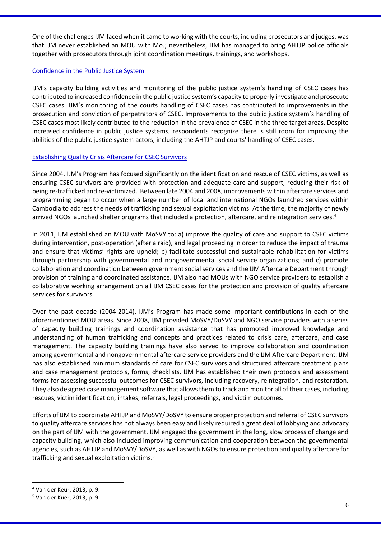One of the challenges IJM faced when it came to working with the courts, including prosecutors and judges, was that IJM never established an MOU with MoJ; nevertheless, IJM has managed to bring AHTJP police officials together with prosecutors through joint coordination meetings, trainings, and workshops.

#### Confidence in the Public Justice System

IJM's capacity building activities and monitoring of the public justice system's handling of CSEC cases has contributed to increased confidence in the public justice system's capacity to properly investigate and prosecute CSEC cases. IJM's monitoring of the courts handling of CSEC cases has contributed to improvements in the prosecution and conviction of perpetrators of CSEC. Improvements to the public justice system's handling of CSEC cases most likely contributed to the reduction in the prevalence of CSEC in the three target areas. Despite increased confidence in public justice systems, respondents recognize there is still room for improving the abilities of the public justice system actors, including the AHTJP and courts' handling of CSEC cases.

# Establishing Quality Crisis Aftercare for CSEC Survivors

Since 2004, IJM's Program has focused significantly on the identification and rescue of CSEC victims, as well as ensuring CSEC survivors are provided with protection and adequate care and support, reducing their risk of being re-trafficked and re-victimized. Between late 2004 and 2008, improvements within aftercare services and programming began to occur when a large number of local and international NGOs launched services within Cambodia to address the needs of trafficking and sexual exploitation victims. At the time, the majority of newly arrived NGOs launched shelter programs that included a protection, aftercare, and reintegration services.<sup>4</sup>

In 2011, IJM established an MOU with MoSVY to: a) improve the quality of care and support to CSEC victims during intervention, post-operation (after a raid), and legal proceeding in order to reduce the impact of trauma and ensure that victims' rights are upheld; b) facilitate successful and sustainable rehabilitation for victims through partnership with governmental and nongovernmental social service organizations; and c) promote collaboration and coordination between government social services and the IJM Aftercare Department through provision of training and coordinated assistance. IJM also had MOUs with NGO service providers to establish a collaborative working arrangement on all IJM CSEC cases for the protection and provision of quality aftercare services for survivors.

Over the past decade (2004-2014), IJM's Program has made some important contributions in each of the aforementioned MOU areas. Since 2008, IJM provided MoSVY/DoSVY and NGO service providers with a series of capacity building trainings and coordination assistance that has promoted improved knowledge and understanding of human trafficking and concepts and practices related to crisis care, aftercare, and case management. The capacity building trainings have also served to improve collaboration and coordination among governmental and nongovernmental aftercare service providers and the IJM Aftercare Department. IJM has also established minimum standards of care for CSEC survivors and structured aftercare treatment plans and case management protocols, forms, checklists. IJM has established their own protocols and assessment forms for assessing successful outcomes for CSEC survivors, including recovery, reintegration, and restoration. They also designed case management software that allows them to track and monitor all of their cases, including rescues, victim identification, intakes, referrals, legal proceedings, and victim outcomes.

Efforts of IJM to coordinate AHTJP and MoSVY/DoSVY to ensure proper protection and referral of CSEC survivors to quality aftercare services has not always been easy and likely required a great deal of lobbying and advocacy on the part of IJM with the government. IJM engaged the government in the long, slow process of change and capacity building, which also included improving communication and cooperation between the governmental agencies, such as AHTJP and MoSVY/DoSVY, as well as with NGOs to ensure protection and quality aftercare for trafficking and sexual exploitation victims.<sup>5</sup>

 $\overline{a}$ 

<sup>4</sup> Van der Keur, 2013, p. 9.

<sup>5</sup> Van der Kuer, 2013, p. 9.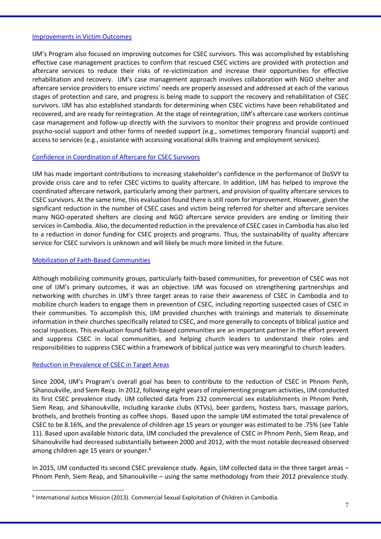#### Improvements in Victim Outcomes

IJM's Program also focused on improving outcomes for CSEC survivors. This was accomplished by establishing effective case management practices to confirm that rescued CSEC victims are provided with protection and aftercare services to reduce their risks of re-victimization and increase their opportunities for effective rehabilitation and recovery. IJM's case management approach involves collaboration with NGO shelter and aftercare service providers to ensure victims' needs are properly assessed and addressed at each of the various stages of protection and care, and progress is being made to support the recovery and rehabilitation of CSEC survivors. IJM has also established standards for determining when CSEC victims have been rehabilitated and recovered, and are ready for reintegration. At the stage of reintegration, IJM's aftercare case workers continue case management and follow-up directly with the survivors to monitor their progress and provide continued psycho-social support and other forms of needed support (e.g., sometimes temporary financial support) and access to services (e.g., assistance with accessing vocational skills training and employment services).

# Confidence in Coordination of Aftercare for CSEC Survivors

IJM has made important contributions to increasing stakeholder's confidence in the performance of DoSVY to provide crisis care and to refer CSEC victims to quality aftercare. In addition, IJM has helped to improve the coordinated aftercare network, particularly among their partners, and provision of quality aftercare services to CSEC survivors. At the same time, this evaluation found there is still room for improvement. However, given the significant reduction in the number of CSEC cases and victim being referred for shelter and aftercare services many NGO-operated shelters are closing and NGO aftercare service providers are ending or limiting their services in Cambodia. Also, the documented reduction in the prevalence of CSEC cases in Cambodia has also led to a reduction in donor funding for CSEC projects and programs. Thus, the sustainability of quality aftercare service for CSEC survivors is unknown and will likely be much more limited in the future.

# Mobilization of Faith-Based Communities

Although mobilizing community groups, particularly faith-based communities, for prevention of CSEC was not one of IJM's primary outcomes, it was an objective. IJM was focused on strengthening partnerships and networking with churches in IJM's three target areas to raise their awareness of CSEC in Cambodia and to mobilize church leaders to engage them in prevention of CSEC, including reporting suspected cases of CSEC in their communities. To accomplish this, IJM provided churches with trainings and materials to disseminate information in their churches specifically related to CSEC, and more generally to concepts of biblical justice and social injustices. This evaluation found faith-based communities are an important partner in the effort prevent and suppress CSEC in local communities, and helping church leaders to understand their roles and responsibilities to suppress CSEC within a framework of biblical justice was very meaningful to church leaders.

# Reduction in Prevalence of CSEC in Target Areas

 $\overline{a}$ 

Since 2004, IJM's Program's overall goal has been to contribute to the reduction of CSEC in Phnom Penh, Sihanoukville, and Siem Reap. In 2012, following eight years of implementing program activities, IJM conducted its first CSEC prevalence study. IJM collected data from 232 commercial sex establishments in Phnom Penh, Siem Reap, and Sihanoukville, including karaoke clubs (KTVs), beer gardens, hostess bars, massage parlors, brothels, and brothels fronting as coffee shops. Based upon the sample IJM estimated the total prevalence of CSEC to be 8.16%, and the prevalence of children age 15 years or younger was estimated to be .75% (see Table 11). Based upon available historic data, IJM concluded the prevalence of CSEC in Phnom Penh, Siem Reap, and Sihanoukville had decreased substantially between 2000 and 2012, with the most notable decreased observed among children age 15 years or younger.<sup>6</sup>

In 2015, IJM conducted its second CSEC prevalence study. Again, IJM collected data in the three target areas – Phnom Penh, Siem Reap, and Sihanoukville – using the same methodology from their 2012 prevalence study.

<sup>6</sup> International Justice Mission (2013). Commercial Sexual Exploitation of Children in Cambodia.